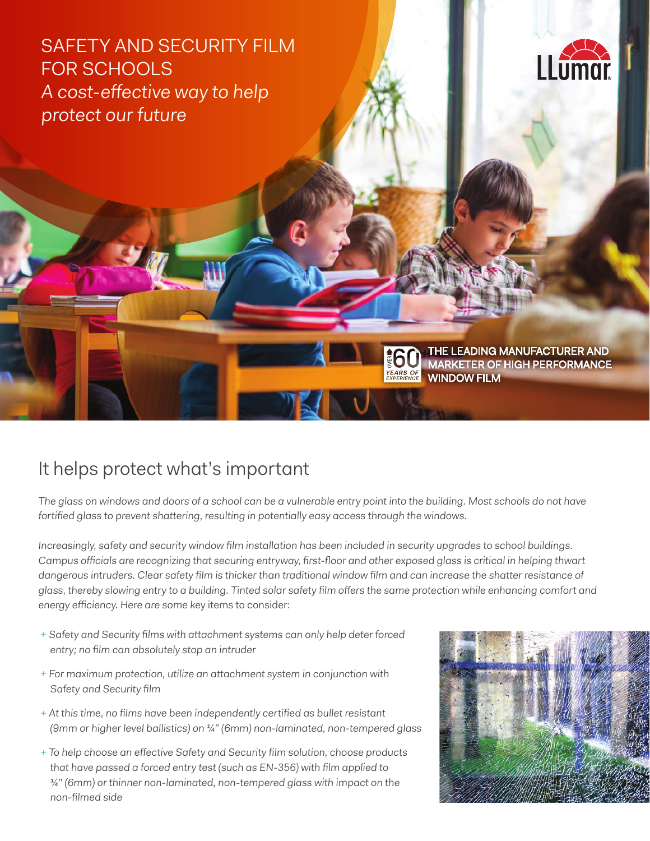SAFETY AND SECURITY FILM FOR SCHOOLS A cost-effective way to help protect our future



THE LEADING MANUFACTURER AND MARKETER OF HIGH PERFORMANCE WINDOW FILM

## It helps protect what's important

The glass on windows and doors of a school can be a vulnerable entry point into the building. Most schools do not have fortified glass to prevent shattering, resulting in potentially easy access through the windows.

Increasingly, safety and security window film installation has been included in security upgrades to school buildings. Campus officials are recognizing that securing entryway, first-floor and other exposed glass is critical in helping thwart dangerous intruders. Clear safety film is thicker than traditional window film and can increase the shatter resistance of glass, thereby slowing entry to a building. Tinted solar safety film offers the same protection while enhancing comfort and energy efficiency. Here are some key items to consider:

- + Safety and Security films with attachment systems can only help deter forced entry; no film can absolutely stop an intruder
- + For maximum protection, utilize an attachment system in conjunction with Safety and Security film
- + At this time, no films have been independently certified as bullet resistant (9mm or higher level ballistics) on ¼" (6mm) non-laminated, non-tempered glass
- + To help choose an effective Safety and Security film solution, choose products that have passed a forced entry test (such as EN-356) with film applied to  $\frac{1}{4}$ " (6mm) or thinner non-laminated, non-tempered glass with impact on the non-filmed side